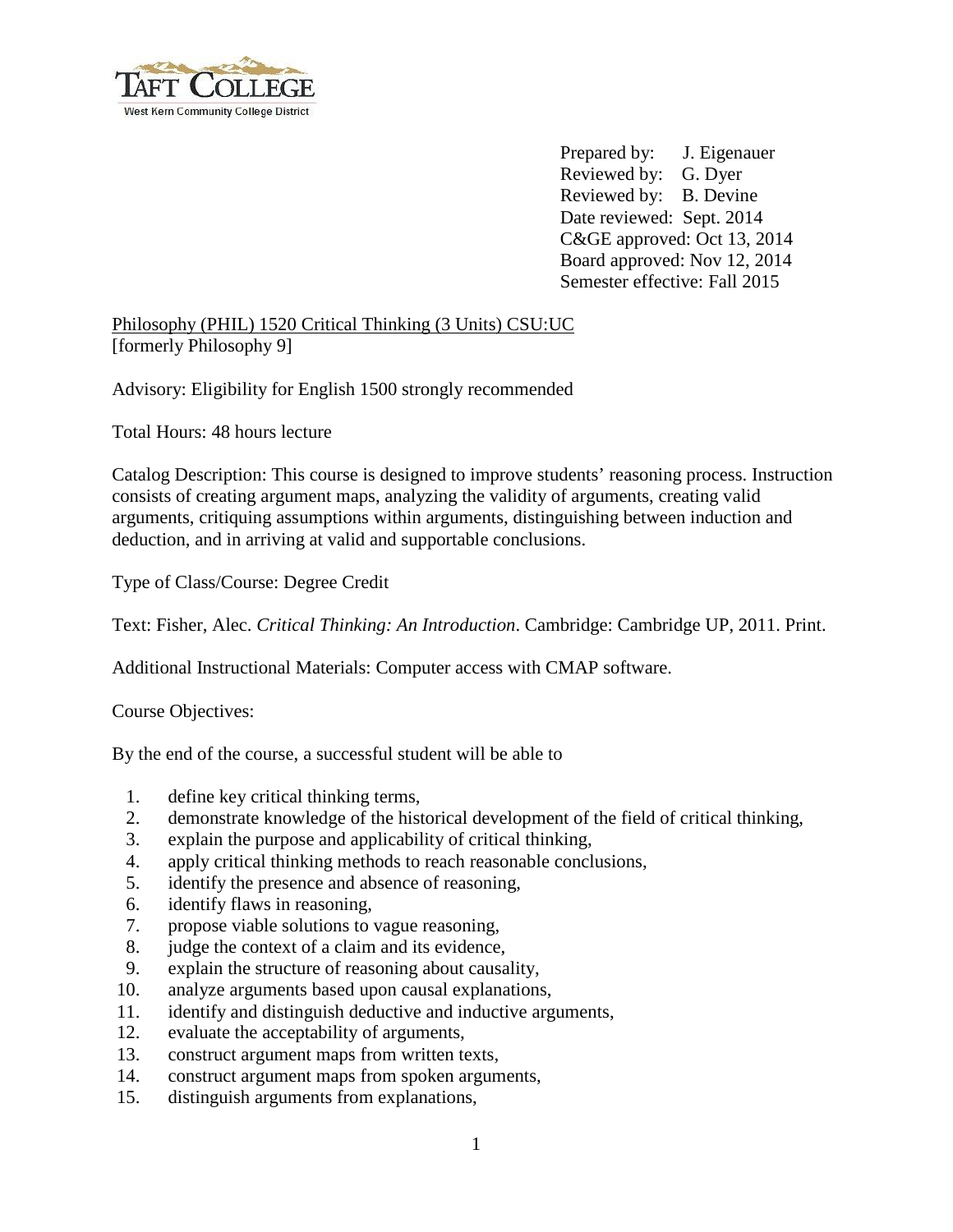

Prepared by: J. Eigenauer Reviewed by: G. Dyer Reviewed by: B. Devine Date reviewed: Sept. 2014 C&GE approved: Oct 13, 2014 Board approved: Nov 12, 2014 Semester effective: Fall 2015

## Philosophy (PHIL) 1520 Critical Thinking (3 Units) CSU:UC [formerly Philosophy 9]

Advisory: Eligibility for English 1500 strongly recommended

Total Hours: 48 hours lecture

Catalog Description: This course is designed to improve students' reasoning process. Instruction consists of creating argument maps, analyzing the validity of arguments, creating valid arguments, critiquing assumptions within arguments, distinguishing between induction and deduction, and in arriving at valid and supportable conclusions.

Type of Class/Course: Degree Credit

Text: Fisher, Alec. *Critical Thinking: An Introduction*. Cambridge: Cambridge UP, 2011. Print.

Additional Instructional Materials: Computer access with CMAP software.

Course Objectives:

By the end of the course, a successful student will be able to

- 1. define key critical thinking terms,
- 2. demonstrate knowledge of the historical development of the field of critical thinking,
- 3. explain the purpose and applicability of critical thinking,
- 4. apply critical thinking methods to reach reasonable conclusions,
- 5. identify the presence and absence of reasoning,
- 6. identify flaws in reasoning,
- 7. propose viable solutions to vague reasoning,
- 8. judge the context of a claim and its evidence,
- 9. explain the structure of reasoning about causality,
- 10. analyze arguments based upon causal explanations,
- 11. identify and distinguish deductive and inductive arguments,
- 12. evaluate the acceptability of arguments,
- 13. construct argument maps from written texts,
- 14. construct argument maps from spoken arguments,
- 15. distinguish arguments from explanations,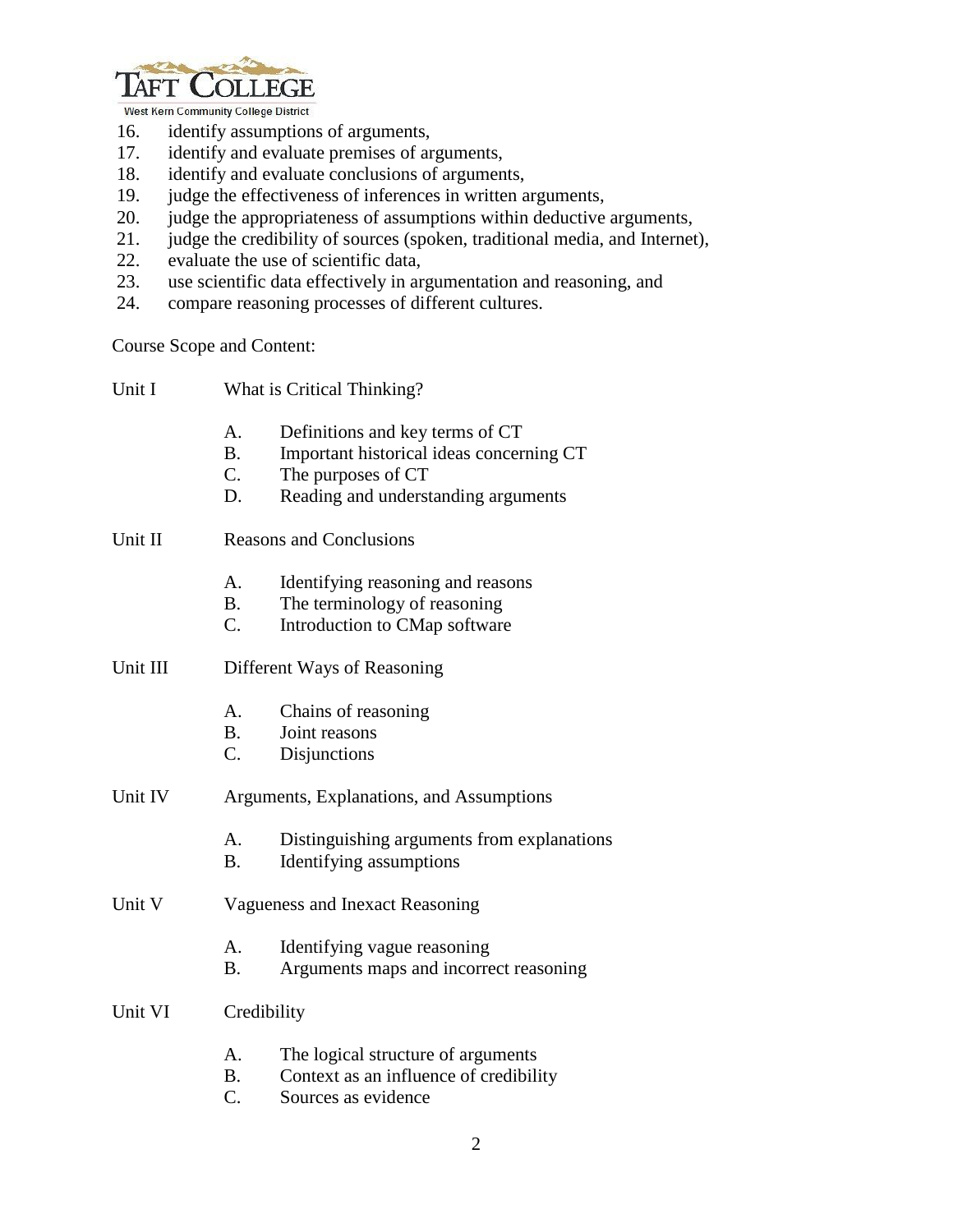

West Kern Community College District

- 16. identify assumptions of arguments,
- 17. identify and evaluate premises of arguments,
- 18. identify and evaluate conclusions of arguments,<br>19. judge the effectiveness of inferences in written a
- 19. judge the effectiveness of inferences in written arguments,<br>20. judge the appropriateness of assumptions within deductive
- judge the appropriateness of assumptions within deductive arguments,
- 21. judge the credibility of sources (spoken, traditional media, and Internet),
- 22. evaluate the use of scientific data,
- 23. use scientific data effectively in argumentation and reasoning, and
- 24. compare reasoning processes of different cultures.

Course Scope and Content:

| Unit I   |                                          | What is Critical Thinking?                                                                                                               |  |  |
|----------|------------------------------------------|------------------------------------------------------------------------------------------------------------------------------------------|--|--|
|          | A.<br><b>B.</b><br>C.<br>D.              | Definitions and key terms of CT<br>Important historical ideas concerning CT<br>The purposes of CT<br>Reading and understanding arguments |  |  |
| Unit II  | <b>Reasons and Conclusions</b>           |                                                                                                                                          |  |  |
|          | A.<br><b>B.</b><br>C.                    | Identifying reasoning and reasons<br>The terminology of reasoning<br>Introduction to CMap software                                       |  |  |
| Unit III | Different Ways of Reasoning              |                                                                                                                                          |  |  |
|          | A.<br><b>B.</b><br>C.                    | Chains of reasoning<br>Joint reasons<br>Disjunctions                                                                                     |  |  |
| Unit IV  | Arguments, Explanations, and Assumptions |                                                                                                                                          |  |  |
|          | A.<br><b>B.</b>                          | Distinguishing arguments from explanations<br>Identifying assumptions                                                                    |  |  |
| Unit V   | Vagueness and Inexact Reasoning          |                                                                                                                                          |  |  |
|          | А.<br><b>B.</b>                          | Identifying vague reasoning<br>Arguments maps and incorrect reasoning                                                                    |  |  |
| Unit VI  | Credibility                              |                                                                                                                                          |  |  |
|          | A.<br><b>B</b> .<br>$\overline{C}$ .     | The logical structure of arguments<br>Context as an influence of credibility<br>Sources as evidence                                      |  |  |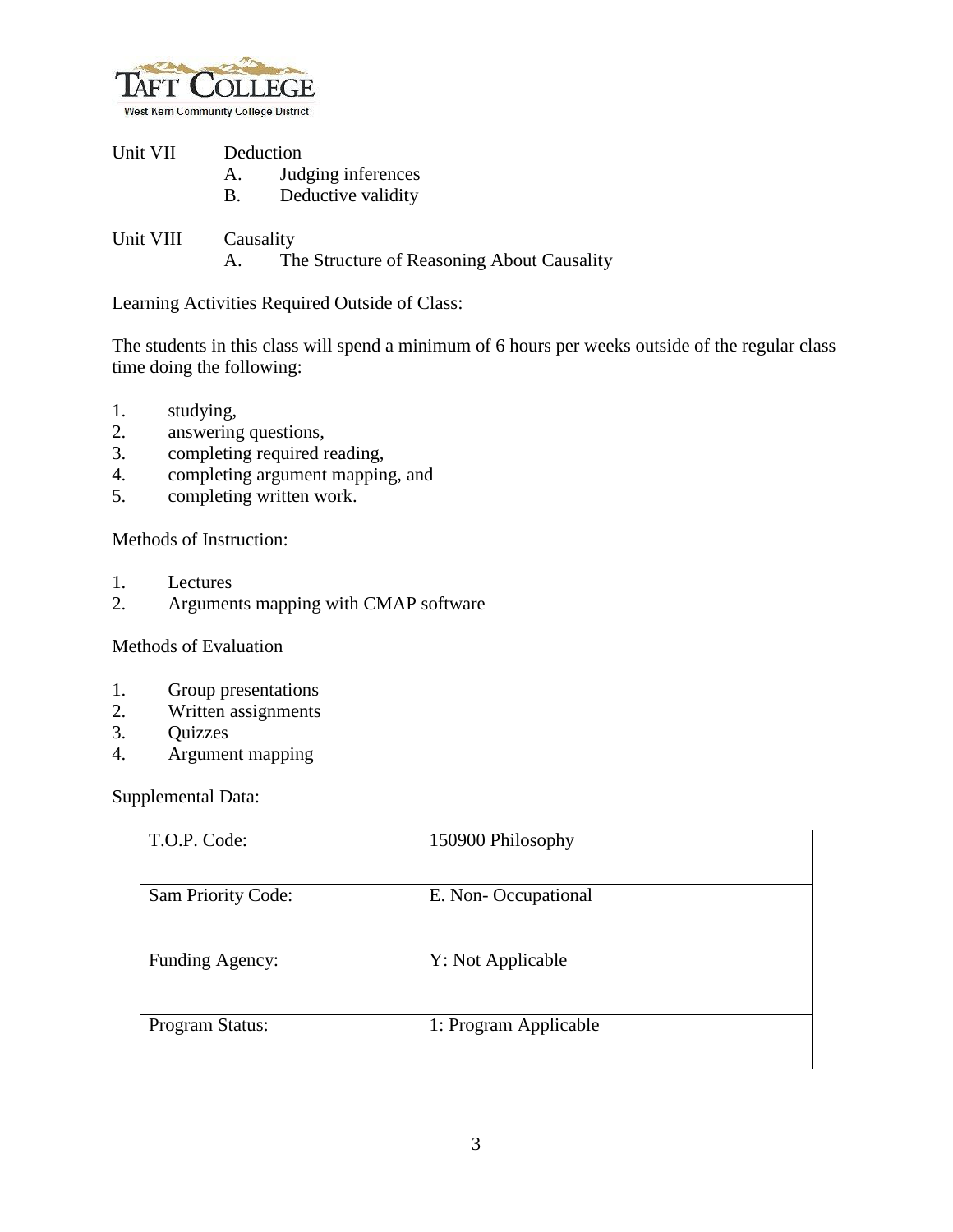

| Unit VII |    | Deduction          |  |
|----------|----|--------------------|--|
|          |    | Judging inferences |  |
|          | B. | Deductive validity |  |

Unit VIII Causality A. The Structure of Reasoning About Causality

Learning Activities Required Outside of Class:

The students in this class will spend a minimum of 6 hours per weeks outside of the regular class time doing the following:

- 1. studying,
- 2. answering questions,
- 3. completing required reading,
- 4. completing argument mapping, and
- 5. completing written work.

Methods of Instruction:

- 1. Lectures
- 2. Arguments mapping with CMAP software

Methods of Evaluation

- 1. Group presentations
- 2. Written assignments
- 3. Quizzes
- 4. Argument mapping

Supplemental Data:

| T.O.P. Code:       | 150900 Philosophy     |
|--------------------|-----------------------|
| Sam Priority Code: | E. Non-Occupational   |
| Funding Agency:    | Y: Not Applicable     |
| Program Status:    | 1: Program Applicable |